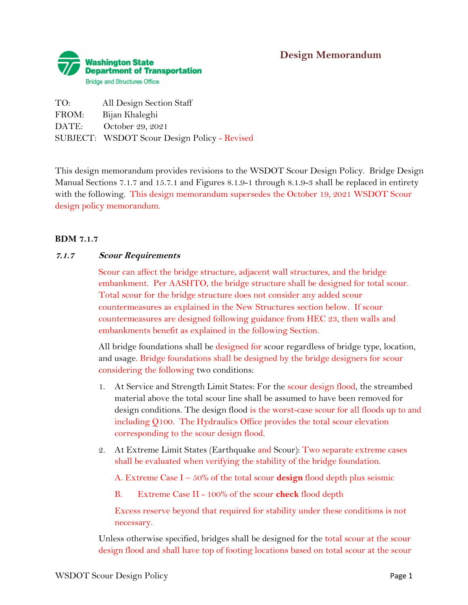

| TO:   | All Design Section Staff                     |
|-------|----------------------------------------------|
| FROM: | Bijan Khaleghi                               |
| DATE: | October 29, 2021                             |
|       | SUBJECT: WSDOT Scour Design Policy - Revised |

This design memorandum provides revisions to the WSDOT Scour Design Policy. Bridge Design Manual Sections 7.1.7 and 15.7.1 and Figures 8.1.9-1 through 8.1.9-3 shall be replaced in entirety with the following. This design memorandum supersedes the October 19, 2021 WSDOT Scour design policy memorandum.

## **BDM 7.1.7**

#### **7.1.7 Scour Requirements**

Scour can affect the bridge structure, adjacent wall structures, and the bridge embankment. Per AASHTO, the bridge structure shall be designed for total scour. Total scour for the bridge structure does not consider any added scour countermeasures as explained in the New Structures section below. If scour countermeasures are designed following guidance from HEC 23, then walls and embankments benefit as explained in the following Section.

All bridge foundations shall be designed for scour regardless of bridge type, location, and usage. Bridge foundations shall be designed by the bridge designers for scour considering the following two conditions:

- 1. At Service and Strength Limit States: For the scour design flood, the streambed material above the total scour line shall be assumed to have been removed for design conditions. The design flood is the worst-case scour for all floods up to and including Q100. The Hydraulics Office provides the total scour elevation corresponding to the scour design flood.
- 2. At Extreme Limit States (Earthquake and Scour): Two separate extreme cases shall be evaluated when verifying the stability of the bridge foundation.

A. Extreme Case I – 50% of the total scour **design** flood depth plus seismic

B. Extreme Case II - 100% of the scour **check** flood depth

Excess reserve beyond that required for stability under these conditions is not necessary.

Unless otherwise specified, bridges shall be designed for the total scour at the scour design flood and shall have top of footing locations based on total scour at the scour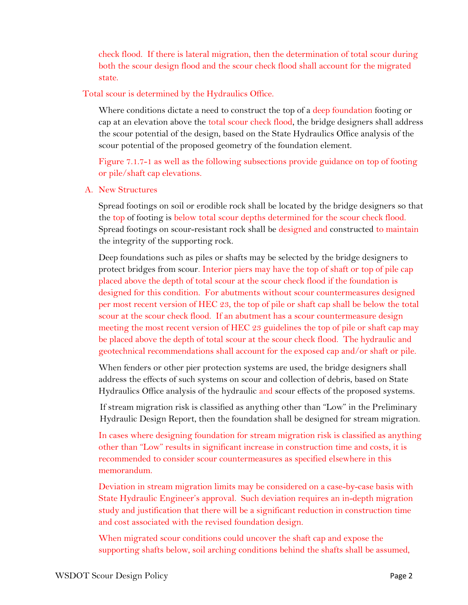check flood. If there is lateral migration, then the determination of total scour during both the scour design flood and the scour check flood shall account for the migrated state.

Total scour is determined by the Hydraulics Office.

Where conditions dictate a need to construct the top of a deep foundation footing or cap at an elevation above the total scour check flood, the bridge designers shall address the scour potential of the design, based on the State Hydraulics Office analysis of the scour potential of the proposed geometry of the foundation element.

Figure 7.1.7-1 as well as the following subsections provide guidance on top of footing or pile/shaft cap elevations.

## A. New Structures

Spread footings on soil or erodible rock shall be located by the bridge designers so that the top of footing is below total scour depths determined for the scour check flood. Spread footings on scour-resistant rock shall be designed and constructed to maintain the integrity of the supporting rock.

Deep foundations such as piles or shafts may be selected by the bridge designers to protect bridges from scour. Interior piers may have the top of shaft or top of pile cap placed above the depth of total scour at the scour check flood if the foundation is designed for this condition. For abutments without scour countermeasures designed per most recent version of HEC 23, the top of pile or shaft cap shall be below the total scour at the scour check flood. If an abutment has a scour countermeasure design meeting the most recent version of HEC 23 guidelines the top of pile or shaft cap may be placed above the depth of total scour at the scour check flood. The hydraulic and geotechnical recommendations shall account for the exposed cap and/or shaft or pile.

When fenders or other pier protection systems are used, the bridge designers shall address the effects of such systems on scour and collection of debris, based on State Hydraulics Office analysis of the hydraulic and scour effects of the proposed systems.

If stream migration risk is classified as anything other than "Low" in the Preliminary Hydraulic Design Report, then the foundation shall be designed for stream migration.

In cases where designing foundation for stream migration risk is classified as anything other than "Low" results in significant increase in construction time and costs, it is recommended to consider scour countermeasures as specified elsewhere in this memorandum.

Deviation in stream migration limits may be considered on a case-by-case basis with State Hydraulic Engineer's approval. Such deviation requires an in-depth migration study and justification that there will be a significant reduction in construction time and cost associated with the revised foundation design.

When migrated scour conditions could uncover the shaft cap and expose the supporting shafts below, soil arching conditions behind the shafts shall be assumed,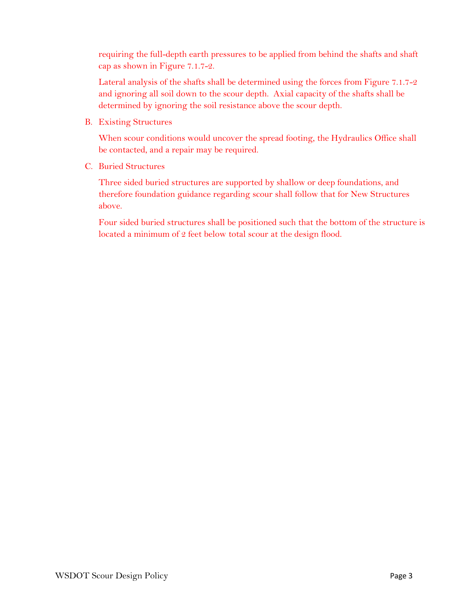requiring the full-depth earth pressures to be applied from behind the shafts and shaft cap as shown in Figure 7.1.7-2.

Lateral analysis of the shafts shall be determined using the forces from Figure 7.1.7-2 and ignoring all soil down to the scour depth. Axial capacity of the shafts shall be determined by ignoring the soil resistance above the scour depth.

B. Existing Structures

When scour conditions would uncover the spread footing, the Hydraulics Office shall be contacted, and a repair may be required.

C. Buried Structures

Three sided buried structures are supported by shallow or deep foundations, and therefore foundation guidance regarding scour shall follow that for New Structures above.

Four sided buried structures shall be positioned such that the bottom of the structure is located a minimum of 2 feet below total scour at the design flood.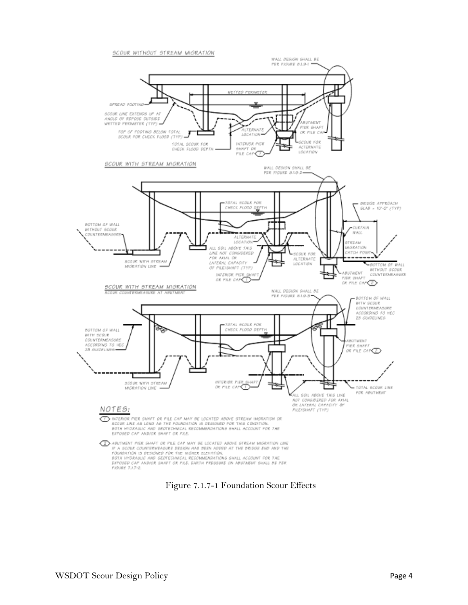

Figure 7.1.7-1 Foundation Scour Effects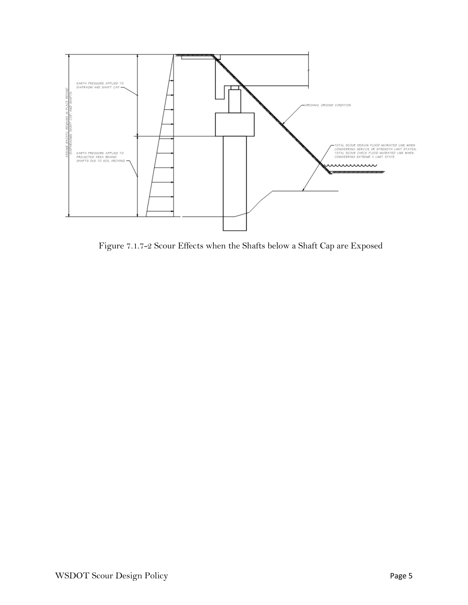

Figure 7.1.7-2 Scour Effects when the Shafts below a Shaft Cap are Exposed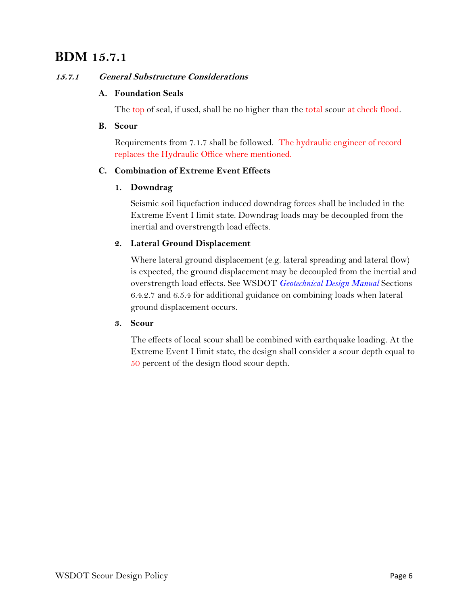# **BDM 15.7.1**

## **15.7.1 General Substructure Considerations**

## **A. Foundation Seals**

The top of seal, if used, shall be no higher than the total scour at check flood.

#### **B. Scour**

Requirements from 7.1.7 shall be followed. The hydraulic engineer of record replaces the Hydraulic Office where mentioned.

# **C. Combination of Extreme Event Effects**

## **1. Downdrag**

Seismic soil liquefaction induced downdrag forces shall be included in the Extreme Event I limit state. Downdrag loads may be decoupled from the inertial and overstrength load effects.

# **2. Lateral Ground Displacement**

Where lateral ground displacement (e.g. lateral spreading and lateral flow) is expected, the ground displacement may be decoupled from the inertial and overstrength load effects. See WSDOT *[Geotechnical Design Manual](about:blank)* Sections 6.4.2.7 and 6.5.4 for additional guidance on combining loads when lateral ground displacement occurs.

#### **3. Scour**

The effects of local scour shall be combined with earthquake loading. At the Extreme Event I limit state, the design shall consider a scour depth equal to 50 percent of the design flood scour depth.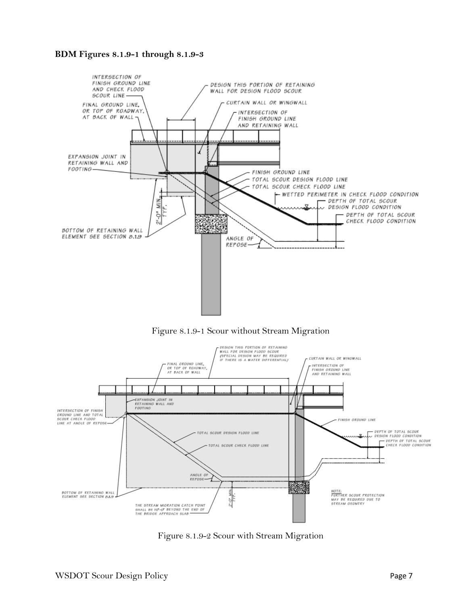#### **BDM Figures 8.1.9-1 through 8.1.9-3**







Figure 8.1.9-2 Scour with Stream Migration